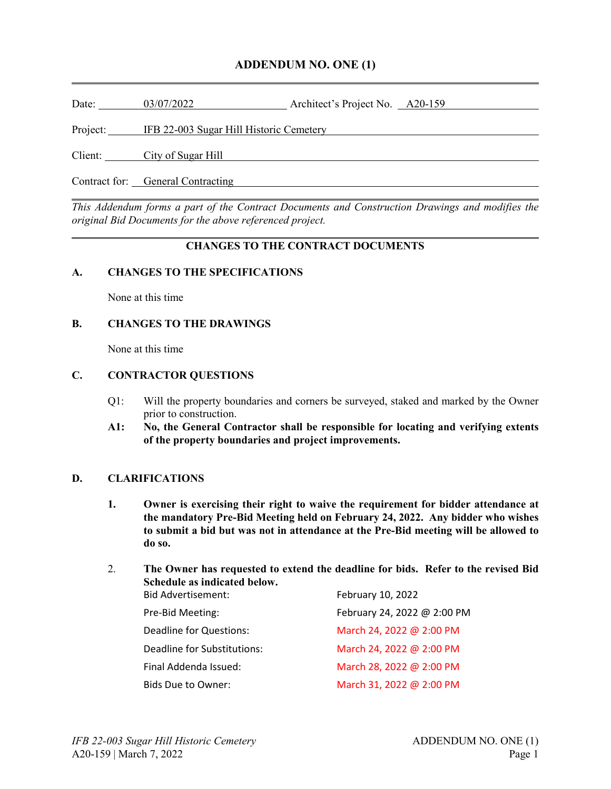### **ADDENDUM NO. ONE (1)**

Date: 03/07/2022 Architect's Project No. 420-159

Project: IFB 22-003 Sugar Hill Historic Cemetery

Client: City of Sugar Hill Client:

Contract for: General Contracting Contraction Contraction Contraction Contraction Contraction Contraction Contraction Contraction Contraction Contraction Contraction Contraction Contraction Contraction Contraction Contract

*This Addendum forms a part of the Contract Documents and Construction Drawings and modifies the original Bid Documents for the above referenced project.*

#### **CHANGES TO THE CONTRACT DOCUMENTS**

#### **A. CHANGES TO THE SPECIFICATIONS**

None at this time

#### **B. CHANGES TO THE DRAWINGS**

None at this time

#### **C. CONTRACTOR QUESTIONS**

- Q1: Will the property boundaries and corners be surveyed, staked and marked by the Owner prior to construction.
- **A1: No, the General Contractor shall be responsible for locating and verifying extents of the property boundaries and project improvements.**

#### **D. CLARIFICATIONS**

- **1. Owner is exercising their right to waive the requirement for bidder attendance at the mandatory Pre-Bid Meeting held on February 24, 2022. Any bidder who wishes to submit a bid but was not in attendance at the Pre-Bid meeting will be allowed to do so.**
- 2. **The Owner has requested to extend the deadline for bids. Refer to the revised Bid Schedule as indicated below.**

| <b>Bid Advertisement:</b>   | February 10, 2022           |
|-----------------------------|-----------------------------|
| Pre-Bid Meeting:            | February 24, 2022 @ 2:00 PM |
| Deadline for Questions:     | March 24, 2022 @ 2:00 PM    |
| Deadline for Substitutions: | March 24, 2022 @ 2:00 PM    |
| Final Addenda Issued:       | March 28, 2022 @ 2:00 PM    |
| Bids Due to Owner:          | March 31, 2022 @ 2:00 PM    |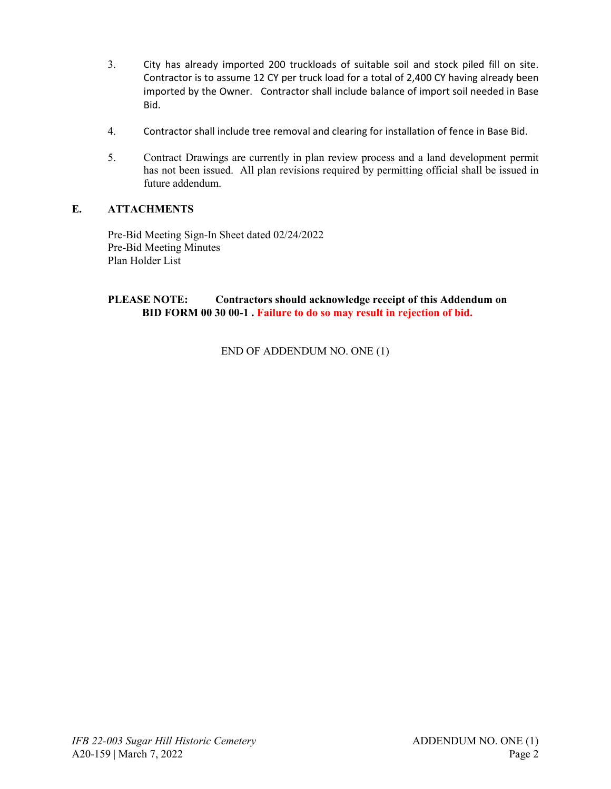- 3. City has already imported 200 truckloads of suitable soil and stock piled fill on site. Contractor is to assume 12 CY per truck load for a total of 2,400 CY having already been imported by the Owner. Contractor shall include balance of import soil needed in Base Bid.
- 4. Contractor shall include tree removal and clearing for installation of fence in Base Bid.
- 5. Contract Drawings are currently in plan review process and a land development permit has not been issued. All plan revisions required by permitting official shall be issued in future addendum.

#### **E. ATTACHMENTS**

Pre-Bid Meeting Sign-In Sheet dated 02/24/2022 Pre-Bid Meeting Minutes Plan Holder List

#### **PLEASE NOTE: Contractors should acknowledge receipt of this Addendum on BID FORM 00 30 00-1 . Failure to do so may result in rejection of bid.**

END OF ADDENDUM NO. ONE (1)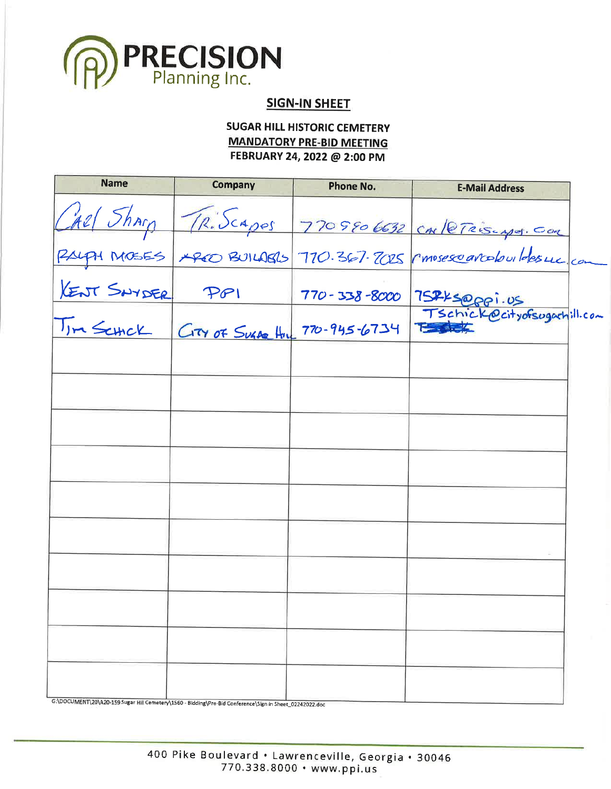

# **SIGN-IN SHEET**

**SUGAR HILL HISTORIC CEMETERY MANDATORY PRE-BID MEETING** FEBRUARY 24, 2022 @ 2:00 PM

| <b>Name</b> | <b>Company</b>                                                                                         | <b>Phone No.</b> | <b>E-Mail Address</b>                                             |  |
|-------------|--------------------------------------------------------------------------------------------------------|------------------|-------------------------------------------------------------------|--|
|             |                                                                                                        |                  | CARL Sharp TRISCAPES 7709806632 CARLETRISCAPES. COM               |  |
|             |                                                                                                        |                  | RAIGH MOSES PRED BUILABLS 770.367.2025 rmosescarcolouildesure com |  |
|             |                                                                                                        |                  | 770-338-8000 75745@ppi.us                                         |  |
|             |                                                                                                        |                  |                                                                   |  |
|             |                                                                                                        |                  |                                                                   |  |
|             |                                                                                                        |                  |                                                                   |  |
|             |                                                                                                        |                  |                                                                   |  |
|             |                                                                                                        |                  |                                                                   |  |
|             |                                                                                                        |                  |                                                                   |  |
|             |                                                                                                        |                  |                                                                   |  |
|             |                                                                                                        |                  |                                                                   |  |
|             |                                                                                                        |                  |                                                                   |  |
|             |                                                                                                        |                  |                                                                   |  |
|             |                                                                                                        |                  |                                                                   |  |
|             | G:\DOCUMENT\20\A20-159 Sugar Hill Cemetery\1560 - Bidding\Pre-Bid Conference\Sign in Sheet 02242022 de |                  |                                                                   |  |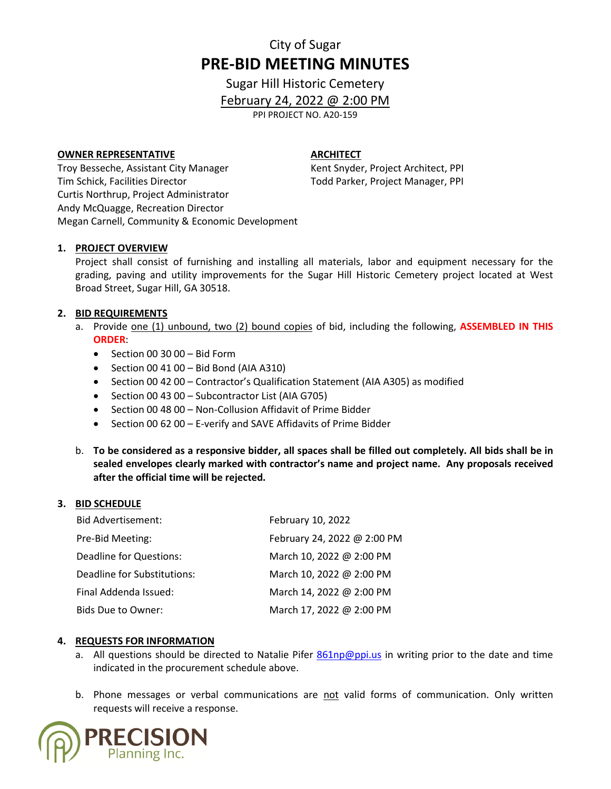# City of Sugar **PRE-BID MEETING MINUTES**

Sugar Hill Historic Cemetery

February 24, 2022 @ 2:00 PM

PPI PROJECT NO. A20-159

#### **OWNER REPRESENTATIVE**

#### **ARCHITECT**

Kent Snyder, Project Architect, PPI Todd Parker, Project Manager, PPI

Troy Besseche, Assistant City Manager Tim Schick, Facilities Director Curtis Northrup, Project Administrator Andy McQuagge, Recreation Director Megan Carnell, Community & Economic Development

#### **1. PROJECT OVERVIEW**

Project shall consist of furnishing and installing all materials, labor and equipment necessary for the grading, paving and utility improvements for the Sugar Hill Historic Cemetery project located at West Broad Street, Sugar Hill, GA 30518.

#### **2. BID REQUIREMENTS**

- a. Provide one (1) unbound, two (2) bound copies of bid, including the following, **ASSEMBLED IN THIS ORDER**:
	- Section 00 30 00 Bid Form
	- Section 00 41 00 Bid Bond (AIA A310)
	- Section 00 42 00 Contractor's Qualification Statement (AIA A305) as modified
	- Section 00 43 00 Subcontractor List (AIA G705)
	- Section 00 48 00 Non-Collusion Affidavit of Prime Bidder
	- Section 00 62 00 E-verify and SAVE Affidavits of Prime Bidder
- b. **To be considered as a responsive bidder, all spaces shall be filled out completely. All bids shall be in sealed envelopes clearly marked with contractor's name and project name. Any proposals received after the official time will be rejected.**

#### **3. BID SCHEDULE**

| <b>Bid Advertisement:</b>   | February 10, 2022           |
|-----------------------------|-----------------------------|
| Pre-Bid Meeting:            | February 24, 2022 @ 2:00 PM |
| Deadline for Questions:     | March 10, 2022 @ 2:00 PM    |
| Deadline for Substitutions: | March 10, 2022 @ 2:00 PM    |
| Final Addenda Issued:       | March 14, 2022 @ 2:00 PM    |
| Bids Due to Owner:          | March 17, 2022 @ 2:00 PM    |

#### **4. REQUESTS FOR INFORMATION**

- a. All questions should be directed to Natalie Pifer [861np@ppi.us](mailto:861np@ppi.us) in writing prior to the date and time indicated in the procurement schedule above.
- b. Phone messages or verbal communications are not valid forms of communication. Only written requests will receive a response.

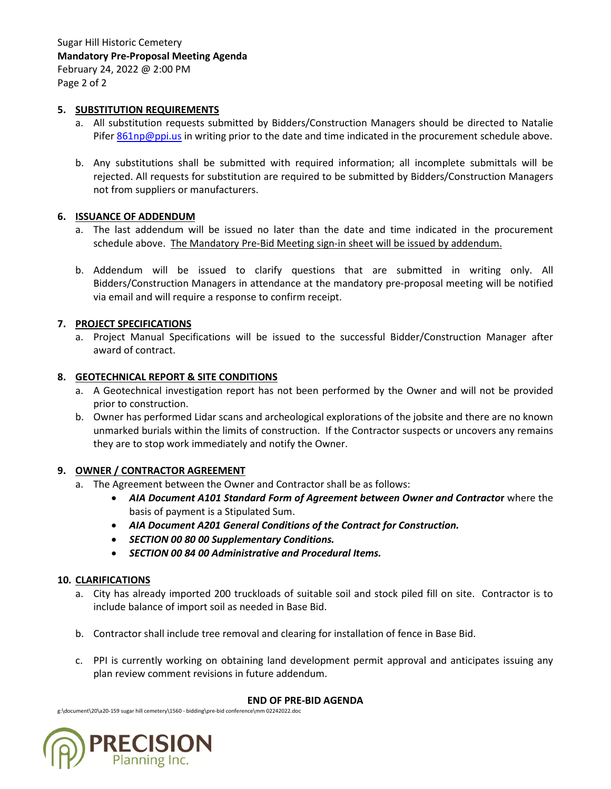#### **5. SUBSTITUTION REQUIREMENTS**

- a. All substitution requests submitted by Bidders/Construction Managers should be directed to Natalie Pifer [861np@ppi.us](mailto:861np@ppi.us) in writing prior to the date and time indicated in the procurement schedule above.
- b. Any substitutions shall be submitted with required information; all incomplete submittals will be rejected. All requests for substitution are required to be submitted by Bidders/Construction Managers not from suppliers or manufacturers.

#### **6. ISSUANCE OF ADDENDUM**

- a. The last addendum will be issued no later than the date and time indicated in the procurement schedule above. The Mandatory Pre-Bid Meeting sign-in sheet will be issued by addendum.
- b. Addendum will be issued to clarify questions that are submitted in writing only. All Bidders/Construction Managers in attendance at the mandatory pre-proposal meeting will be notified via email and will require a response to confirm receipt.

#### **7. PROJECT SPECIFICATIONS**

a. Project Manual Specifications will be issued to the successful Bidder/Construction Manager after award of contract.

#### **8. GEOTECHNICAL REPORT & SITE CONDITIONS**

- a. A Geotechnical investigation report has not been performed by the Owner and will not be provided prior to construction.
- b. Owner has performed Lidar scans and archeological explorations of the jobsite and there are no known unmarked burials within the limits of construction. If the Contractor suspects or uncovers any remains they are to stop work immediately and notify the Owner.

#### **9. OWNER / CONTRACTOR AGREEMENT**

- a. The Agreement between the Owner and Contractor shall be as follows:
	- *AIA Document A101 Standard Form of Agreement between Owner and Contracto***r** where the basis of payment is a Stipulated Sum.
	- *AIA Document A201 General Conditions of the Contract for Construction.*
	- *SECTION 00 80 00 Supplementary Conditions.*
	- *SECTION 00 84 00 Administrative and Procedural Items.*

#### **10. CLARIFICATIONS**

- a. City has already imported 200 truckloads of suitable soil and stock piled fill on site. Contractor is to include balance of import soil as needed in Base Bid.
- b. Contractor shall include tree removal and clearing for installation of fence in Base Bid.
- c. PPI is currently working on obtaining land development permit approval and anticipates issuing any plan review comment revisions in future addendum.

#### **END OF PRE-BID AGENDA**

g:\document\20\a20-159 sugar hill cemetery\1560 - bidding\pre-bid conference\mm 02242022.doc